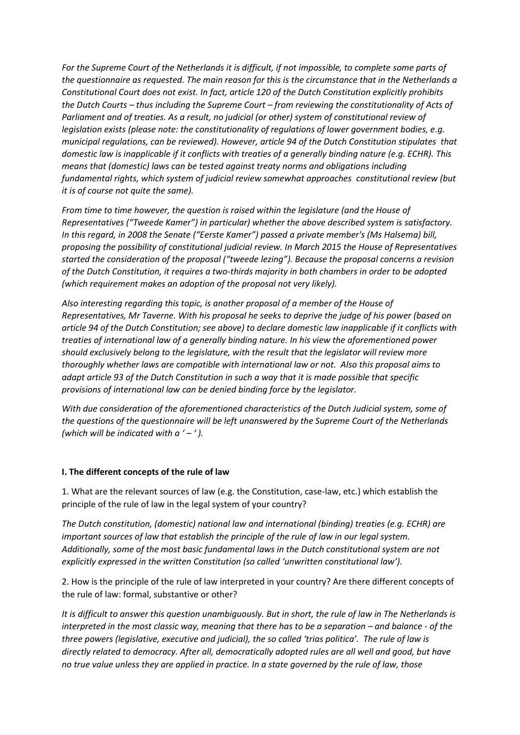*For the Supreme Court of the Netherlands it is difficult, if not impossible, to complete some parts of the questionnaire as requested. The main reason for this is the circumstance that in the Netherlands a Constitutional Court does not exist. In fact, article 120 of the Dutch Constitution explicitly prohibits the Dutch Courts – thus including the Supreme Court – from reviewing the constitutionality of Acts of Parliament and of treaties. As a result, no judicial (or other) system of constitutional review of legislation exists (please note: the constitutionality of regulations of lower government bodies, e.g. municipal regulations, can be reviewed). However, article 94 of the Dutch Constitution stipulates that domestic law is inapplicable if it conflicts with treaties of a generally binding nature (e.g. ECHR). This means that (domestic) laws can be tested against treaty norms and obligations including fundamental rights, which system of judicial review somewhat approaches constitutional review (but it is of course not quite the same).*

*From time to time however, the question is raised within the legislature (and the House of Representatives ("Tweede Kamer") in particular) whether the above described system is satisfactory. In this regard, in 2008 the Senate ("Eerste Kamer") passed a private member's (Ms Halsema) bill, proposing the possibility of constitutional judicial review. In March 2015 the House of Representatives started the consideration of the proposal ("tweede lezing"). Because the proposal concerns a revision of the Dutch Constitution, it requires a two-thirds majority in both chambers in order to be adopted (which requirement makes an adoption of the proposal not very likely).*

*Also interesting regarding this topic, is another proposal of a member of the House of Representatives, Mr Taverne. With his proposal he seeks to deprive the judge of his power (based on article 94 of the Dutch Constitution; see above) to declare domestic law inapplicable if it conflicts with treaties of international law of a generally binding nature. In his view the aforementioned power should exclusively belong to the legislature, with the result that the legislator will review more thoroughly whether laws are compatible with international law or not. Also this proposal aims to adapt article 93 of the Dutch Constitution in such a way that it is made possible that specific provisions of international law can be denied binding force by the legislator.*

*With due consideration of the aforementioned characteristics of the Dutch Judicial system, some of the questions of the questionnaire will be left unanswered by the Supreme Court of the Netherlands (which will be indicated with a ' – ' ).* 

## **I. The different concepts of the rule of law**

1. What are the relevant sources of law (e.g. the Constitution, case-law, etc.) which establish the principle of the rule of law in the legal system of your country?

*The Dutch constitution, (domestic) national law and international (binding) treaties (e.g. ECHR) are important sources of law that establish the principle of the rule of law in our legal system. Additionally, some of the most basic fundamental laws in the Dutch constitutional system are not explicitly expressed in the written Constitution (so called 'unwritten constitutional law').*

2. How is the principle of the rule of law interpreted in your country? Are there different concepts of the rule of law: formal, substantive or other?

*It is difficult to answer this question unambiguously. But in short, the rule of law in The Netherlands is interpreted in the most classic way, meaning that there has to be a separation – and balance - of the three powers (legislative, executive and judicial), the so called 'trias politica'. The rule of law is directly related to democracy. After all, democratically adopted rules are all well and good, but have no true value unless they are applied in practice. In a state governed by the rule of law, those*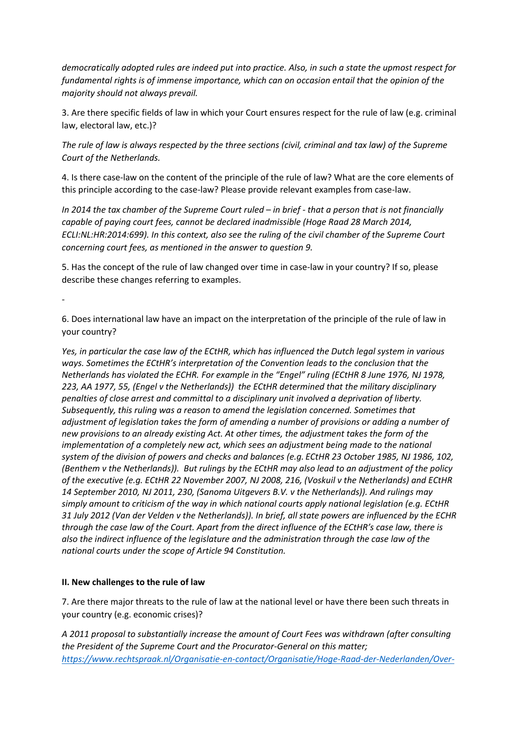*democratically adopted rules are indeed put into practice. Also, in such a state the upmost respect for fundamental rights is of immense importance, which can on occasion entail that the opinion of the majority should not always prevail.* 

3. Are there specific fields of law in which your Court ensures respect for the rule of law (e.g. criminal law, electoral law, etc.)?

*The rule of law is always respected by the three sections (civil, criminal and tax law) of the Supreme Court of the Netherlands.* 

4. Is there case-law on the content of the principle of the rule of law? What are the core elements of this principle according to the case-law? Please provide relevant examples from case-law.

*In 2014 the tax chamber of the Supreme Court ruled – in brief - that a person that is not financially capable of paying court fees, cannot be declared inadmissible (Hoge Raad 28 March 2014, ECLI:NL:HR:2014:699). In this context, also see the ruling of the civil chamber of the Supreme Court concerning court fees, as mentioned in the answer to question 9.* 

5. Has the concept of the rule of law changed over time in case-law in your country? If so, please describe these changes referring to examples.

6. Does international law have an impact on the interpretation of the principle of the rule of law in your country?

*Yes, in particular the case law of the ECtHR, which has influenced the Dutch legal system in various ways. Sometimes the ECtHR's interpretation of the Convention leads to the conclusion that the Netherlands has violated the ECHR. For example in the "Engel" ruling (ECtHR 8 June 1976, NJ 1978, 223, AA 1977, 55, (Engel v the Netherlands)) the ECtHR determined that the military disciplinary penalties of close arrest and committal to a disciplinary unit involved a deprivation of liberty. Subsequently, this ruling was a reason to amend the legislation concerned. Sometimes that adjustment of legislation takes the form of amending a number of provisions or adding a number of new provisions to an already existing Act. At other times, the adjustment takes the form of the implementation of a completely new act, which sees an adjustment being made to the national system of the division of powers and checks and balances (e.g. ECtHR 23 October 1985, NJ 1986, 102, (Benthem v the Netherlands)). But rulings by the ECtHR may also lead to an adjustment of the policy of the executive (e.g. ECtHR 22 November 2007, NJ 2008, 216, (Voskuil v the Netherlands) and ECtHR 14 September 2010, NJ 2011, 230, (Sanoma Uitgevers B.V. v the Netherlands)). And rulings may simply amount to criticism of the way in which national courts apply national legislation (e.g. ECtHR 31 July 2012 (Van der Velden v the Netherlands)). In brief, all state powers are influenced by the ECHR through the case law of the Court. Apart from the direct influence of the ECtHR's case law, there is also the indirect influence of the legislature and the administration through the case law of the national courts under the scope of Article 94 Constitution.*

## **II. New challenges to the rule of law**

*-*

7. Are there major threats to the rule of law at the national level or have there been such threats in your country (e.g. economic crises)?

*A 2011 proposal to substantially increase the amount of Court Fees was withdrawn (after consulting the President of the Supreme Court and the Procurator-General on this matter; [https://www.rechtspraak.nl/Organisatie-en-contact/Organisatie/Hoge-Raad-der-Nederlanden/Over-](https://www.rechtspraak.nl/Organisatie-en-contact/Organisatie/Hoge-Raad-der-Nederlanden/Over-de-Hoge-Raad/Publicaties/Rapporten%20en%20adviezen/Griffierechten.pdf)*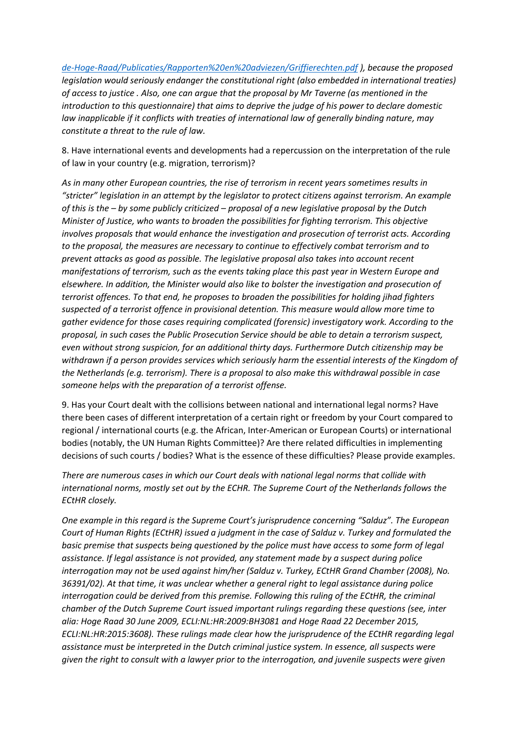*[de-Hoge-Raad/Publicaties/Rapporten%20en%20adviezen/Griffierechten.pdf](https://www.rechtspraak.nl/Organisatie-en-contact/Organisatie/Hoge-Raad-der-Nederlanden/Over-de-Hoge-Raad/Publicaties/Rapporten%20en%20adviezen/Griffierechten.pdf) ), because the proposed legislation would seriously endanger the constitutional right (also embedded in international treaties) of access to justice . Also, one can argue that the proposal by Mr Taverne (as mentioned in the introduction to this questionnaire) that aims to deprive the judge of his power to declare domestic law inapplicable if it conflicts with treaties of international law of generally binding nature, may constitute a threat to the rule of law.* 

8. Have international events and developments had a repercussion on the interpretation of the rule of law in your country (e.g. migration, terrorism)?

*As in many other European countries, the rise of terrorism in recent years sometimes results in "stricter" legislation in an attempt by the legislator to protect citizens against terrorism. An example of this is the – by some publicly criticized – proposal of a new legislative proposal by the Dutch Minister of Justice, who wants to broaden the possibilities for fighting terrorism. This objective involves proposals that would enhance the investigation and prosecution of terrorist acts. According to the proposal, the measures are necessary to continue to effectively combat terrorism and to prevent attacks as good as possible. The legislative proposal also takes into account recent manifestations of terrorism, such as the events taking place this past year in Western Europe and elsewhere. In addition, the Minister would also like to bolster the investigation and prosecution of terrorist offences. To that end, he proposes to broaden the possibilities for holding jihad fighters suspected of a terrorist offence in provisional detention. This measure would allow more time to gather evidence for those cases requiring complicated (forensic) investigatory work. According to the proposal, in such cases the Public Prosecution Service should be able to detain a terrorism suspect, even without strong suspicion, for an additional thirty days. Furthermore Dutch citizenship may be withdrawn if a person provides services which seriously harm the essential interests of the Kingdom of the Netherlands (e.g. terrorism). There is a proposal to also make this withdrawal possible in case someone helps with the preparation of a terrorist offense.* 

9. Has your Court dealt with the collisions between national and international legal norms? Have there been cases of different interpretation of a certain right or freedom by your Court compared to regional / international courts (e.g. the African, Inter-American or European Courts) or international bodies (notably, the UN Human Rights Committee)? Are there related difficulties in implementing decisions of such courts / bodies? What is the essence of these difficulties? Please provide examples.

*There are numerous cases in which our Court deals with national legal norms that collide with international norms, mostly set out by the ECHR. The Supreme Court of the Netherlands follows the ECtHR closely.* 

*One example in this regard is the Supreme Court's jurisprudence concerning "Salduz". The European Court of Human Rights (ECtHR) issued a judgment in the case of Salduz v. Turkey and formulated the basic premise that suspects being questioned by the police must have access to some form of legal assistance. If legal assistance is not provided, any statement made by a suspect during police interrogation may not be used against him/her (Salduz v. Turkey, ECtHR Grand Chamber (2008), No. 36391/02). At that time, it was unclear whether a general right to legal assistance during police interrogation could be derived from this premise. Following this ruling of the ECtHR, the criminal chamber of the Dutch Supreme Court issued important rulings regarding these questions (see, inter alia: Hoge Raad 30 June 2009, ECLI:NL:HR:2009:BH3081 and Hoge Raad 22 December 2015, ECLI:NL:HR:2015:3608). These rulings made clear how the jurisprudence of the ECtHR regarding legal assistance must be interpreted in the Dutch criminal justice system. In essence, all suspects were given the right to consult with a lawyer prior to the interrogation, and juvenile suspects were given*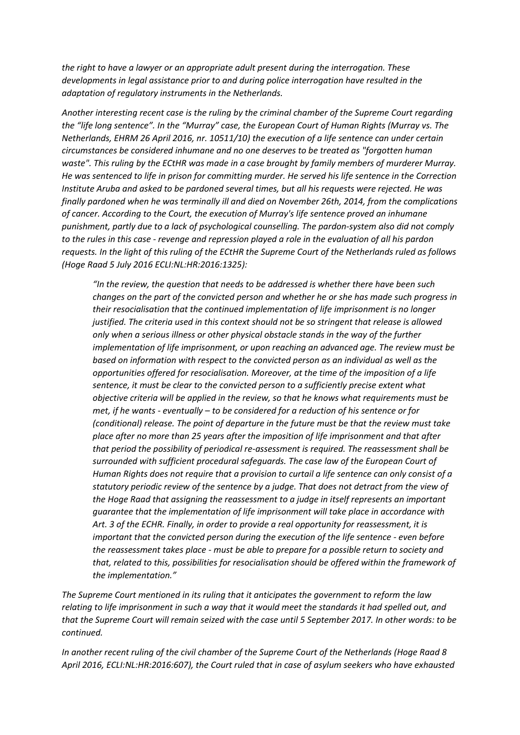*the right to have a lawyer or an appropriate adult present during the interrogation. These developments in legal assistance prior to and during police interrogation have resulted in the adaptation of regulatory instruments in the Netherlands.*

*Another interesting recent case is the ruling by the criminal chamber of the Supreme Court regarding the "life long sentence". In the "Murray" case, the European Court of Human Rights (Murray vs. The Netherlands, EHRM 26 April 2016, nr. 10511/10) the execution of a life sentence can under certain circumstances be considered inhumane and no one deserves to be treated as "forgotten human waste". This ruling by the ECtHR was made in a case brought by family members of murderer Murray. He was sentenced to life in prison for committing murder. He served his life sentence in the Correction Institute Aruba and asked to be pardoned several times, but all his requests were rejected. He was finally pardoned when he was terminally ill and died on November 26th, 2014, from the complications of cancer. According to the Court, the execution of Murray's life sentence proved an inhumane punishment, partly due to a lack of psychological counselling. The pardon-system also did not comply to the rules in this case - revenge and repression played a role in the evaluation of all his pardon requests. In the light of this ruling of the ECtHR the Supreme Court of the Netherlands ruled as follows (Hoge Raad 5 July 2016 ECLI:NL:HR:2016:1325):* 

*"In the review, the question that needs to be addressed is whether there have been such changes on the part of the convicted person and whether he or she has made such progress in their resocialisation that the continued implementation of life imprisonment is no longer justified. The criteria used in this context should not be so stringent that release is allowed only when a serious illness or other physical obstacle stands in the way of the further implementation of life imprisonment, or upon reaching an advanced age. The review must be based on information with respect to the convicted person as an individual as well as the opportunities offered for resocialisation. Moreover, at the time of the imposition of a life sentence, it must be clear to the convicted person to a sufficiently precise extent what objective criteria will be applied in the review, so that he knows what requirements must be met, if he wants - eventually – to be considered for a reduction of his sentence or for (conditional) release. The point of departure in the future must be that the review must take place after no more than 25 years after the imposition of life imprisonment and that after that period the possibility of periodical re-assessment is required. The reassessment shall be surrounded with sufficient procedural safeguards. The case law of the European Court of Human Rights does not require that a provision to curtail a life sentence can only consist of a statutory periodic review of the sentence by a judge. That does not detract from the view of the Hoge Raad that assigning the reassessment to a judge in itself represents an important guarantee that the implementation of life imprisonment will take place in accordance with Art. 3 of the ECHR. Finally, in order to provide a real opportunity for reassessment, it is important that the convicted person during the execution of the life sentence - even before the reassessment takes place - must be able to prepare for a possible return to society and that, related to this, possibilities for resocialisation should be offered within the framework of the implementation."* 

*The Supreme Court mentioned in its ruling that it anticipates the government to reform the law relating to life imprisonment in such a way that it would meet the standards it had spelled out, and that the Supreme Court will remain seized with the case until 5 September 2017. In other words: to be continued.* 

*In another recent ruling of the civil chamber of the Supreme Court of the Netherlands (Hoge Raad 8 April 2016, ECLI:NL:HR:2016:607), the Court ruled that in case of asylum seekers who have exhausted*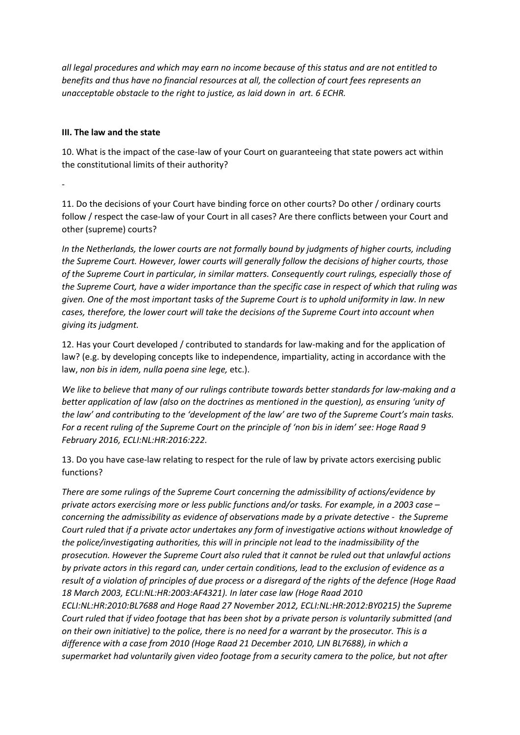*all legal procedures and which may earn no income because of this status and are not entitled to benefits and thus have no financial resources at all, the collection of court fees represents an unacceptable obstacle to the right to justice, as laid down in art. 6 ECHR.* 

## **III. The law and the state**

10. What is the impact of the case-law of your Court on guaranteeing that state powers act within the constitutional limits of their authority?

-

11. Do the decisions of your Court have binding force on other courts? Do other / ordinary courts follow / respect the case-law of your Court in all cases? Are there conflicts between your Court and other (supreme) courts?

*In the Netherlands, the lower courts are not formally bound by judgments of higher courts, including the Supreme Court. However, lower courts will generally follow the decisions of higher courts, those of the Supreme Court in particular, in similar matters. Consequently court rulings, especially those of the Supreme Court, have a wider importance than the specific case in respect of which that ruling was given. One of the most important tasks of the Supreme Court is to uphold uniformity in law. In new cases, therefore, the lower court will take the decisions of the Supreme Court into account when giving its judgment.*

12. Has your Court developed / contributed to standards for law-making and for the application of law? (e.g. by developing concepts like to independence, impartiality, acting in accordance with the law, *non bis in idem, nulla poena sine lege,* etc.).

*We like to believe that many of our rulings contribute towards better standards for law-making and a better application of law (also on the doctrines as mentioned in the question), as ensuring 'unity of the law' and contributing to the 'development of the law' are two of the Supreme Court's main tasks. For a recent ruling of the Supreme Court on the principle of 'non bis in idem' see: Hoge Raad 9 February 2016, ECLI:NL:HR:2016:222.*

13. Do you have case-law relating to respect for the rule of law by private actors exercising public functions?

*There are some rulings of the Supreme Court concerning the admissibility of actions/evidence by private actors exercising more or less public functions and/or tasks. For example, in a 2003 case – concerning the admissibility as evidence of observations made by a private detective - the Supreme Court ruled that if a private actor undertakes any form of investigative actions without knowledge of the police/investigating authorities, this will in principle not lead to the inadmissibility of the prosecution. However the Supreme Court also ruled that it cannot be ruled out that unlawful actions by private actors in this regard can, under certain conditions, lead to the exclusion of evidence as a result of a violation of principles of due process or a disregard of the rights of the defence (Hoge Raad 18 March 2003, ECLI:NL:HR:2003:AF4321). In later case law (Hoge Raad 2010 ECLI:NL:HR:2010:BL7688 and Hoge Raad 27 November 2012, ECLI:NL:HR:2012:BY0215) the Supreme Court ruled that if video footage that has been shot by a private person is voluntarily submitted (and on their own initiative) to the police, there is no need for a warrant by the prosecutor. This is a difference with a case from 2010 (Hoge Raad 21 December 2010, LJN BL7688), in which a supermarket had voluntarily given video footage from a security camera to the police, but not after*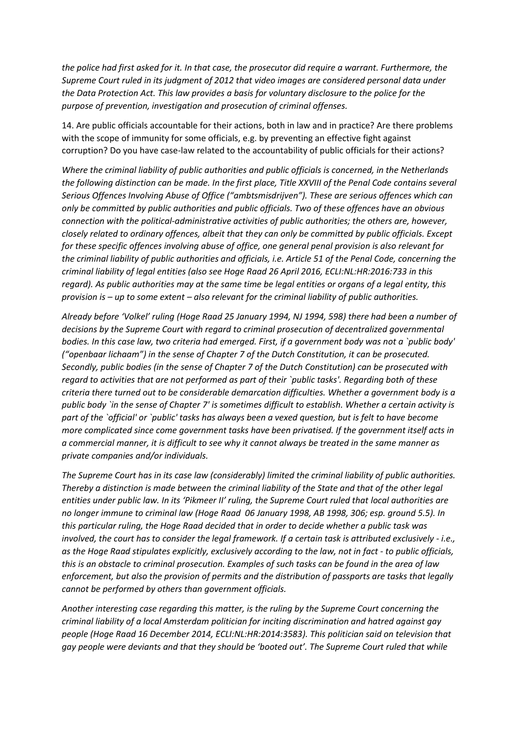*the police had first asked for it. In that case, the prosecutor did require a warrant. Furthermore, the Supreme Court ruled in its judgment of 2012 that video images are considered personal data under the Data Protection Act. This law provides a basis for voluntary disclosure to the police for the purpose of prevention, investigation and prosecution of criminal offenses.*

14. Are public officials accountable for their actions, both in law and in practice? Are there problems with the scope of immunity for some officials, e.g. by preventing an effective fight against corruption? Do you have case-law related to the accountability of public officials for their actions?

*Where the criminal liability of public authorities and public officials is concerned, in the Netherlands the following distinction can be made. In the first place, Title XXVIII of the Penal Code contains several Serious Offences Involving Abuse of Office ("ambtsmisdrijven"). These are serious offences which can only be committed by public authorities and public officials. Two of these offences have an obvious connection with the political-administrative activities of public authorities; the others are, however, closely related to ordinary offences, albeit that they can only be committed by public officials. Except for these specific offences involving abuse of office, one general penal provision is also relevant for the criminal liability of public authorities and officials, i.e. Article 51 of the Penal Code, concerning the criminal liability of legal entities (also see Hoge Raad 26 April 2016, ECLI:NL:HR:2016:733 in this regard). As public authorities may at the same time be legal entities or organs of a legal entity, this provision is – up to some extent – also relevant for the criminal liability of public authorities.* 

*Already before 'Volkel' ruling (Hoge Raad 25 January 1994, NJ 1994, 598) there had been a number of decisions by the Supreme Court with regard to criminal prosecution of decentralized governmental bodies. In this case law, two criteria had emerged. First, if a government body was not a `public body' ("openbaar lichaam") in the sense of Chapter 7 of the Dutch Constitution, it can be prosecuted. Secondly, public bodies (in the sense of Chapter 7 of the Dutch Constitution) can be prosecuted with regard to activities that are not performed as part of their `public tasks'. Regarding both of these criteria there turned out to be considerable demarcation difficulties. Whether a government body is a public body `in the sense of Chapter 7' is sometimes difficult to establish. Whether a certain activity is part of the `official' or `public' tasks has always been a vexed question, but is felt to have become more complicated since come government tasks have been privatised. If the government itself acts in a commercial manner, it is difficult to see why it cannot always be treated in the same manner as private companies and/or individuals.* 

*The Supreme Court has in its case law (considerably) limited the criminal liability of public authorities. Thereby a distinction is made between the criminal liability of the State and that of the other legal entities under public law. In its 'Pikmeer II' ruling, the Supreme Court ruled that local authorities are no longer immune to criminal law (Hoge Raad 06 January 1998, AB 1998, 306; esp. ground 5.5). In this particular ruling, the Hoge Raad decided that in order to decide whether a public task was involved, the court has to consider the legal framework. If a certain task is attributed exclusively - i.e., as the Hoge Raad stipulates explicitly, exclusively according to the law, not in fact - to public officials, this is an obstacle to criminal prosecution. Examples of such tasks can be found in the area of law enforcement, but also the provision of permits and the distribution of passports are tasks that legally cannot be performed by others than government officials.*

*Another interesting case regarding this matter, is the ruling by the Supreme Court concerning the criminal liability of a local Amsterdam politician for inciting discrimination and hatred against gay people (Hoge Raad 16 December 2014, ECLI:NL:HR:2014:3583). This politician said on television that gay people were deviants and that they should be 'booted out'. The Supreme Court ruled that while*